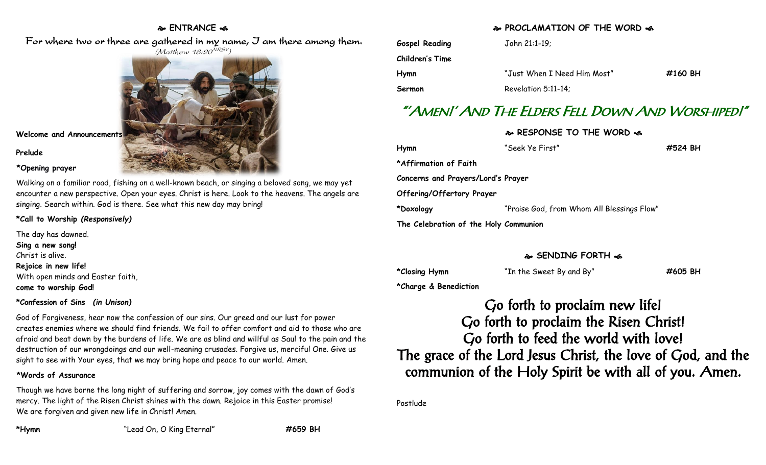#### **ENTRANCE**

For where two or three are gathered in my name, I am there among them.



**Welcome and Announcements**

**Prelude**

**\*Opening prayer**

Walking on a familiar road, fishing on a well-known beach, or singing a beloved song, we may yet encounter a new perspective. Open your eyes. Christ is here. Look to the heavens. The angels are singing. Search within. God is there. See what this new day may bring!

**\*Call to Worship** *(Responsively)*

The day has dawned. **Sing a new song!** Christ is alive. **Rejoice in new life!** With open minds and Easter faith, **come to worship God!**

#### **\*Confession of Sins** *(in Unison)*

God of Forgiveness, hear now the confession of our sins. Our greed and our lust for power creates enemies where we should find friends. We fail to offer comfort and aid to those who are afraid and beat down by the burdens of life. We are as blind and willful as Saul to the pain and the destruction of our wrongdoings and our well-meaning crusades. Forgive us, merciful One. Give us sight to see with Your eyes, that we may bring hope and peace to our world. Amen.

#### **\*Words of Assurance**

Though we have borne the long night of suffering and sorrow, joy comes with the dawn of God's mercy. The light of the Risen Christ shines with the dawn. Rejoice in this Easter promise! We are forgiven and given new life in Christ! Amen.

**\*Hymn** "Lead On, O King Eternal" **#659 BH**

#### **PROCLAMATION OF THE WORD**

| Gospel Reading  | John 21:1-19;               |         |
|-----------------|-----------------------------|---------|
| Children's Time |                             |         |
| Hymn            | "Just When I Need Him Most" | #160 BH |
| Sermon          | Revelation 5:11-14;         |         |

# "'AMEN!' AND THE ELDERS FELL DOWN AND WORSHIPED!"

**RESPONSE TO THE WORD** 

| Hymn                                  | "Seek Ye First"                            | #524 BH |
|---------------------------------------|--------------------------------------------|---------|
| *Affirmation of Faith                 |                                            |         |
| Concerns and Prayers/Lord's Prayer    |                                            |         |
| Offering/Offertory Prayer             |                                            |         |
| *Doxology                             | "Praise God, from Whom All Blessings Flow" |         |
| The Celebration of the Holy Communion |                                            |         |

#### **SENDING FORTH**

| *Closing Hymn | "In the Sweet By and By" | #605 BH |
|---------------|--------------------------|---------|
|               |                          |         |

**\*Charge & Benediction**

Go forth to proclaim new life! Go forth to proclaim the Risen Christ! Go forth to feed the world with love! The grace of the Lord Jesus Christ, the love of God, and the communion of the Holy Spirit be with all of you. Amen.

Postlude